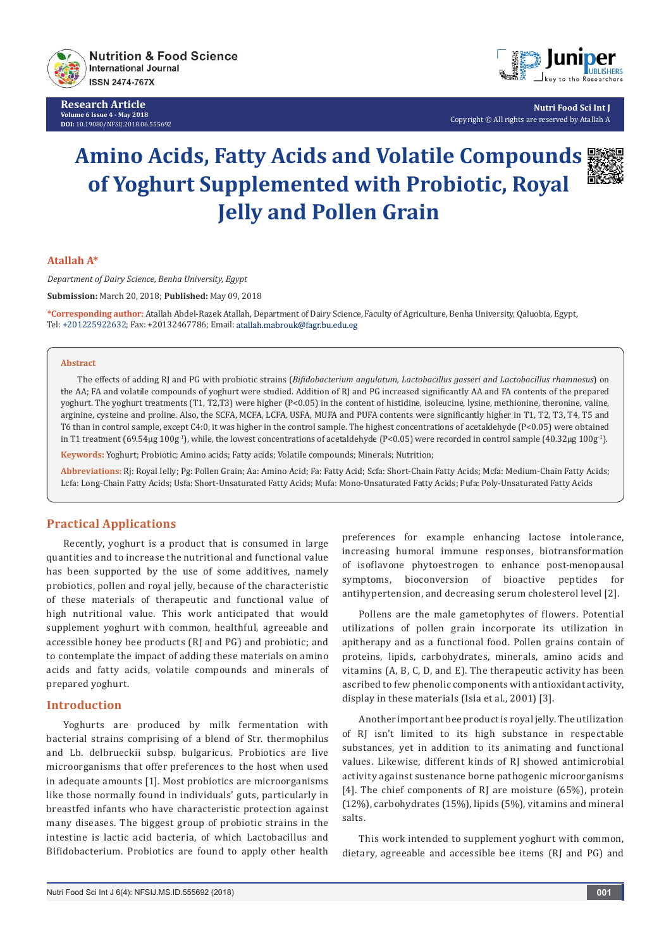

**Research Article Volume 6 Issue 4 - May 2018 DOI:** [10.19080/NFSIJ.2018.06.555692](http://dx.doi.org/10.19080/NFSIJ.2018.06.555692)



**Nutri Food Sci Int J** Copyright © All rights are reserved by Atallah A

# **Amino Acids, Fatty Acids and Volatile Compounds of Yoghurt Supplemented with Probiotic, Royal Jelly and Pollen Grain**



#### **Atallah A\***

*Department of Dairy Science, Benha University, Egypt*

**Submission:** March 20, 2018; **Published:** May 09, 2018

**\*Corresponding author:** Atallah Abdel-Razek Atallah, Department of Dairy Science, Faculty of Agriculture, Benha University, Qaluobia, Egypt, Tel: +201225922632; Fax: +20132467786; Email:

#### **Abstract**

The effects of adding RJ and PG with probiotic strains (*Bifidobacterium angulatum, Lactobacillus gasseri and Lactobacillus rhamnosus*) on the AA; FA and volatile compounds of yoghurt were studied. Addition of RI and PG increased significantly AA and FA contents of the prepared yoghurt. The yoghurt treatments (T1, T2,T3) were higher (P<0.05) in the content of histidine, isoleucine, lysine, methionine, theronine, valine, arginine, cysteine and proline. Also, the SCFA, MCFA, LCFA, USFA, MUFA and PUFA contents were significantly higher in T1, T2, T3, T4, T5 and T6 than in control sample, except C4:0, it was higher in the control sample. The highest concentrations of acetaldehyde (P<0.05) were obtained in T1 treatment (69.54μg 100g<sup>-1</sup>), while, the lowest concentrations of acetaldehyde (P<0.05) were recorded in control sample (40.32μg 100g<sup>-1</sup>).

**Keywords:** Yoghurt; Probiotic; Amino acids; Fatty acids; Volatile compounds; Minerals; Nutrition;

**Abbreviations:** Rj: Royal Ielly; Pg: Pollen Grain; Aa: Amino Acid; Fa: Fatty Acid; Scfa: Short-Chain Fatty Acids; Mcfa: Medium-Chain Fatty Acids; Lcfa: Long-Chain Fatty Acids; Usfa: Short-Unsaturated Fatty Acids; Mufa: Mono-Unsaturated Fatty Acids; Pufa: Poly-Unsaturated Fatty Acids

# **Practical Applications**

Recently, yoghurt is a product that is consumed in large quantities and to increase the nutritional and functional value has been supported by the use of some additives, namely probiotics, pollen and royal jelly, because of the characteristic of these materials of therapeutic and functional value of high nutritional value. This work anticipated that would supplement yoghurt with common, healthful, agreeable and accessible honey bee products (RJ and PG) and probiotic; and to contemplate the impact of adding these materials on amino acids and fatty acids, volatile compounds and minerals of prepared yoghurt.

#### **Introduction**

Yoghurts are produced by milk fermentation with bacterial strains comprising of a blend of Str. thermophilus and Lb. delbrueckii subsp. bulgaricus. Probiotics are live microorganisms that offer preferences to the host when used in adequate amounts [1]. Most probiotics are microorganisms like those normally found in individuals' guts, particularly in breastfed infants who have characteristic protection against many diseases. The biggest group of probiotic strains in the intestine is lactic acid bacteria, of which Lactobacillus and Bifidobacterium. Probiotics are found to apply other health preferences for example enhancing lactose intolerance, increasing humoral immune responses, biotransformation of isoflavone phytoestrogen to enhance post-menopausal symptoms, bioconversion of bioactive peptides for antihypertension, and decreasing serum cholesterol level [2].

Pollens are the male gametophytes of flowers. Potential utilizations of pollen grain incorporate its utilization in apitherapy and as a functional food. Pollen grains contain of proteins, lipids, carbohydrates, minerals, amino acids and vitamins (A, B, C, D, and E). The therapeutic activity has been ascribed to few phenolic components with antioxidant activity, display in these materials (Isla et al., 2001) [3].

Another important bee product is royal jelly. The utilization of RJ isn't limited to its high substance in respectable substances, yet in addition to its animating and functional values. Likewise, different kinds of RJ showed antimicrobial activity against sustenance borne pathogenic microorganisms [4]. The chief components of RJ are moisture (65%), protein (12%), carbohydrates (15%), lipids (5%), vitamins and mineral salts.

This work intended to supplement yoghurt with common, dietary, agreeable and accessible bee items (RJ and PG) and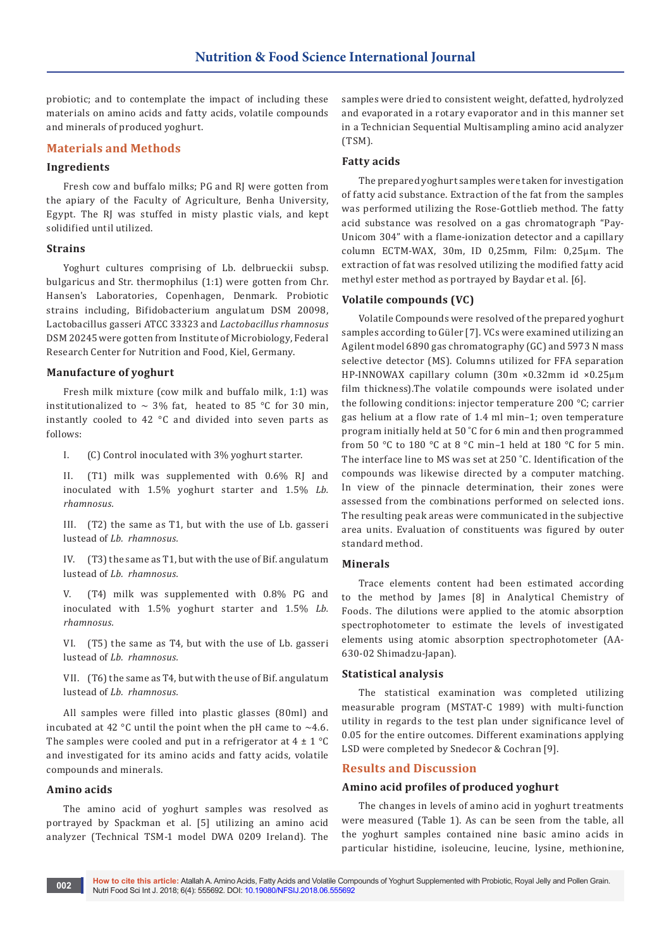probiotic; and to contemplate the impact of including these materials on amino acids and fatty acids, volatile compounds and minerals of produced yoghurt.

# **Materials and Methods**

# **Ingredients**

Fresh cow and buffalo milks; PG and RJ were gotten from the apiary of the Faculty of Agriculture, Benha University, Egypt. The RJ was stuffed in misty plastic vials, and kept solidified until utilized.

## **Strains**

Yoghurt cultures comprising of Lb. delbrueckii subsp. bulgaricus and Str. thermophilus (1:1) were gotten from Chr. Hansen's Laboratories, Copenhagen, Denmark. Probiotic strains including, Bifidobacterium angulatum DSM 20098, Lactobacillus gasseri ATCC 33323 and *Lactobacillus rhamnosus* DSM 20245 were gotten from Institute of Microbiology, Federal Research Center for Nutrition and Food, Kiel, Germany.

## **Manufacture of yoghurt**

Fresh milk mixture (cow milk and buffalo milk, 1:1) was institutionalized to  $\sim$  3% fat, heated to 85 °C for 30 min, instantly cooled to 42 °C and divided into seven parts as follows:

I. (C) Control inoculated with 3% yoghurt starter.

II.  $(T1)$  milk was supplemented with  $0.6\%$  RJ and inoculated with 1.5% yoghurt starter and 1.5% *Lb. rhamnosus.*

III. (T2) the same as T1, but with the use of Lb. gasseri lustead of *Lb. rhamnosus.*

IV. (T3) the same as T1, but with the use of Bif. angulatum lustead of *Lb. rhamnosus.*

V. (T4) milk was supplemented with 0.8% PG and inoculated with 1.5% yoghurt starter and 1.5% *Lb. rhamnosus.*

VI. (T5) the same as T4, but with the use of Lb. gasseri lustead of *Lb. rhamnosus.*

VII. (T6) the same as T4, but with the use of Bif. angulatum lustead of *Lb. rhamnosus.*

All samples were filled into plastic glasses (80ml) and incubated at 42 °C until the point when the pH came to  $\sim$ 4.6. The samples were cooled and put in a refrigerator at  $4 \pm 1$  °C and investigated for its amino acids and fatty acids, volatile compounds and minerals.

## **Amino acids**

The amino acid of yoghurt samples was resolved as portrayed by Spackman et al. [5] utilizing an amino acid analyzer (Technical TSM-1 model DWA 0209 Ireland). The samples were dried to consistent weight, defatted, hydrolyzed and evaporated in a rotary evaporator and in this manner set in a Technician Sequential Multisampling amino acid analyzer (TSM).

# **Fatty acids**

The prepared yoghurt samples were taken for investigation of fatty acid substance. Extraction of the fat from the samples was performed utilizing the Rose-Gottlieb method. The fatty acid substance was resolved on a gas chromatograph "Pay-Unicom 304" with a flame-ionization detector and a capillary column ЕСТМ-WAX, 30m, ID 0,25mm, Film: 0,25μm. The extraction of fat was resolved utilizing the modified fatty acid methyl ester method as portrayed by Baydar et al. [6].

# **Volatile compounds (VC)**

Volatile Compounds were resolved of the prepared yoghurt samples according to Güler [7]. VCs were examined utilizing an Agilent model 6890 gas chromatography (GC) and 5973 N mass selective detector (MS). Columns utilized for FFA separation HP-INNOWAX capillary column (30m ×0.32mm id ×0.25µm film thickness).The volatile compounds were isolated under the following conditions: injector temperature 200 °C; carrier gas helium at a flow rate of 1.4 ml min–1; oven temperature program initially held at 50 ˚C for 6 min and then programmed from 50 °C to 180 °C at 8 °C min–1 held at 180 °C for 5 min. The interface line to MS was set at 250 ˚C. Identification of the compounds was likewise directed by a computer matching. In view of the pinnacle determination, their zones were assessed from the combinations performed on selected ions. The resulting peak areas were communicated in the subjective area units. Evaluation of constituents was figured by outer standard method.

#### **Minerals**

Trace elements content had been estimated according to the method by James [8] in Analytical Chemistry of Foods. The dilutions were applied to the atomic absorption spectrophotometer to estimate the levels of investigated elements using atomic absorption spectrophotometer (AA-630-02 Shimadzu-Japan).

#### **Statistical analysis**

The statistical examination was completed utilizing measurable program (MSTAT-C 1989) with multi-function utility in regards to the test plan under significance level of 0.05 for the entire outcomes. Different examinations applying LSD were completed by Snedecor & Cochran [9].

# **Results and Discussion**

# **Amino acid profiles of produced yoghurt**

The changes in levels of amino acid in yoghurt treatments were measured (Table 1). As can be seen from the table, all the yoghurt samples contained nine basic amino acids in particular histidine, isoleucine, leucine, lysine, methionine,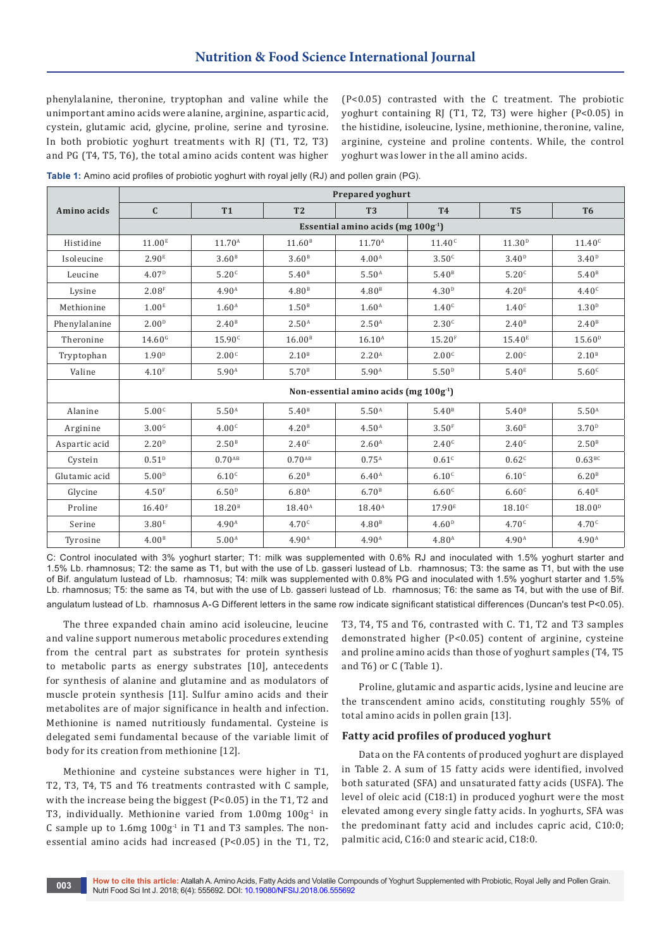phenylalanine, theronine, tryptophan and valine while the unimportant amino acids were alanine, arginine, aspartic acid, cystein, glutamic acid, glycine, proline, serine and tyrosine. In both probiotic yoghurt treatments with RJ (T1, T2, T3) and PG (T4, T5, T6), the total amino acids content was higher

(P<0.05) contrasted with the C treatment. The probiotic yoghurt containing RJ (T1, T2, T3) were higher (P<0.05) in the histidine, isoleucine, lysine, methionine, theronine, valine, arginine, cysteine and proline contents. While, the control yoghurt was lower in the all amino acids.

**Table 1:** Amino acid profiles of probiotic yoghurt with royal jelly (RJ) and pollen grain (PG).

|               | <b>Prepared yoghurt</b>                  |                    |                    |                    |                    |                    |                    |  |  |  |
|---------------|------------------------------------------|--------------------|--------------------|--------------------|--------------------|--------------------|--------------------|--|--|--|
| Amino acids   | $\mathbf C$                              | <b>T1</b>          | T <sub>2</sub>     | T <sub>3</sub>     | <b>T4</b>          | T <sub>5</sub>     | T <sub>6</sub>     |  |  |  |
|               | Essential amino acids (mg $100g-1$ )     |                    |                    |                    |                    |                    |                    |  |  |  |
| Histidine     | 11.00 <sup>E</sup>                       | 11.70 <sup>A</sup> | 11.60 <sup>B</sup> | 11.70 <sup>A</sup> | 11.40 <sup>c</sup> | 11.30 <sup>D</sup> | 11.40 <sup>c</sup> |  |  |  |
| Isoleucine    | 2.90 <sup>E</sup>                        | 3.60 <sup>B</sup>  | 3.60 <sup>B</sup>  | 4.00 <sup>A</sup>  | 3.50 <sup>c</sup>  | 3.40 <sup>D</sup>  | 3.40 <sup>D</sup>  |  |  |  |
| Leucine       | 4.07 <sup>D</sup>                        | 5.20 <sup>c</sup>  | 5.40 <sup>B</sup>  | 5.50 <sup>A</sup>  | 5.40 <sup>B</sup>  | 5.20 <sup>c</sup>  | 5.40 <sup>B</sup>  |  |  |  |
| Lysine        | 2.08 <sup>F</sup>                        | 4.90 <sup>A</sup>  | 4.80 <sup>B</sup>  | 4.80 <sup>B</sup>  | 4.30 <sup>D</sup>  | 4.20 <sup>E</sup>  | 4.40 <sup>c</sup>  |  |  |  |
| Methionine    | 1.00 <sup>E</sup>                        | 1.60 <sup>A</sup>  | 1.50 <sup>B</sup>  | 1.60 <sup>A</sup>  | 1.40 <sup>c</sup>  | 1.40 <sup>c</sup>  | 1.30 <sup>D</sup>  |  |  |  |
| Phenylalanine | 2.00 <sup>D</sup>                        | 2.40 <sup>B</sup>  | 2.50 <sup>A</sup>  | 2.50 <sup>A</sup>  | 2.30 <sup>c</sup>  | 2.40 <sup>B</sup>  | 2.40 <sup>B</sup>  |  |  |  |
| Theronine     | 14.60 <sup>6</sup>                       | 15.90 <sup>c</sup> | 16.00 <sup>B</sup> | $16.10^{A}$        | 15.20 <sup>F</sup> | 15.40 <sup>E</sup> | 15.60 <sup>D</sup> |  |  |  |
| Tryptophan    | 1.90 <sup>D</sup>                        | 2.00 <sup>c</sup>  | 2.10 <sup>B</sup>  | 2.20 <sup>A</sup>  | 2.00 <sup>c</sup>  | 2.00 <sup>c</sup>  | 2.10 <sup>B</sup>  |  |  |  |
| Valine        | 4.10 <sup>F</sup>                        | 5.90 <sup>A</sup>  | 5.70 <sup>B</sup>  | 5.90 <sup>A</sup>  | 5.50 <sup>D</sup>  | 5.40 <sup>E</sup>  | 5.60 <sup>c</sup>  |  |  |  |
|               | Non-essential amino acids (mg $100g-1$ ) |                    |                    |                    |                    |                    |                    |  |  |  |
| Alanine       | 5.00 <sup>c</sup>                        | 5.50 <sup>A</sup>  | 5.40 <sup>B</sup>  | 5.50 <sup>A</sup>  | 5.40 <sup>B</sup>  | 5.40 <sup>B</sup>  | 5.50 <sup>A</sup>  |  |  |  |
| Arginine      | 3.00 <sup>6</sup>                        | 4.00 <sup>c</sup>  | 4.20 <sup>B</sup>  | 4.50 <sup>A</sup>  | 3.50 <sup>F</sup>  | 3.60 <sup>E</sup>  | 3.70 <sup>D</sup>  |  |  |  |
| Aspartic acid | 2.20 <sup>D</sup>                        | 2.50 <sup>B</sup>  | 2.40 <sup>c</sup>  | 2.60 <sup>A</sup>  | 2.40 <sup>c</sup>  | 2.40 <sup>c</sup>  | 2.50 <sup>B</sup>  |  |  |  |
| Cystein       | 0.51 <sup>D</sup>                        | $0.70^{AB}$        | $0.70^{AB}$        | $0.75^{A}$         | 0.61 <sup>c</sup>  | 0.62 <sup>c</sup>  | 0.63BC             |  |  |  |
| Glutamic acid | 5.00 <sup>D</sup>                        | 6.10 <sup>c</sup>  | 6.20 <sup>B</sup>  | 6.40 <sup>A</sup>  | 6.10 <sup>c</sup>  | 6.10 <sup>c</sup>  | 6.20 <sup>B</sup>  |  |  |  |
| Glycine       | 4.50 <sup>F</sup>                        | 6.50 <sup>D</sup>  | 6.80 <sup>A</sup>  | 6.70 <sup>B</sup>  | 6.60 <sup>c</sup>  | 6.60 <sup>c</sup>  | 6.40 <sup>E</sup>  |  |  |  |
| Proline       | 16.40 <sup>F</sup>                       | 18.20 <sup>B</sup> | $18.40^{\text{A}}$ | $18.40^{\text{A}}$ | 17.90 <sup>E</sup> | 18.10 <sup>c</sup> | 18.00 <sup>D</sup> |  |  |  |
| Serine        | 3.80 <sup>E</sup>                        | 4.90 <sup>A</sup>  | 4.70 <sup>c</sup>  | 4.80 <sup>B</sup>  | 4.60 <sup>D</sup>  | 4.70 <sup>c</sup>  | 4.70 <sup>c</sup>  |  |  |  |
| Tyrosine      | 4.00 <sup>B</sup>                        | 5.00 <sup>A</sup>  | 4.90 <sup>A</sup>  | 4.90 <sup>A</sup>  | 4.80 <sup>A</sup>  | 4.90 <sup>A</sup>  | 4.90 <sup>A</sup>  |  |  |  |

C: Control inoculated with 3% yoghurt starter; T1: milk was supplemented with 0.6% RJ and inoculated with 1.5% yoghurt starter and 1.5% Lb. rhamnosus; T2: the same as T1, but with the use of Lb. gasseri lustead of Lb. rhamnosus; T3: the same as T1, but with the use of Bif. angulatum lustead of Lb. rhamnosus; T4: milk was supplemented with 0.8% PG and inoculated with 1.5% yoghurt starter and 1.5% Lb. rhamnosus; T5: the same as T4, but with the use of Lb. gasseri lustead of Lb. rhamnosus; T6: the same as T4, but with the use of Bif. angulatum lustead of Lb. rhamnosus A-G Different letters in the same row indicate significant statistical differences (Duncan's test P<0.05).

The three expanded chain amino acid isoleucine, leucine and valine support numerous metabolic procedures extending from the central part as substrates for protein synthesis to metabolic parts as energy substrates [10], antecedents for synthesis of alanine and glutamine and as modulators of muscle protein synthesis [11]. Sulfur amino acids and their metabolites are of major significance in health and infection. Methionine is named nutritiously fundamental. Cysteine is delegated semi fundamental because of the variable limit of body for its creation from methionine [12].

Methionine and cysteine substances were higher in T1, T2, T3, T4, T5 and T6 treatments contrasted with C sample, with the increase being the biggest (P<0.05) in the T1, T2 and T3, individually. Methionine varied from  $1.00$ mg  $100g<sup>-1</sup>$  in C sample up to  $1.6$ mg  $100g<sup>-1</sup>$  in T1 and T3 samples. The nonessential amino acids had increased (P<0.05) in the T1, T2, T3, T4, T5 and T6, contrasted with C. T1, T2 and T3 samples demonstrated higher (P<0.05) content of arginine, cysteine and proline amino acids than those of yoghurt samples (T4, T5 and T6) or C (Table 1).

Proline, glutamic and aspartic acids, lysine and leucine are the transcendent amino acids, constituting roughly 55% of total amino acids in pollen grain [13].

#### **Fatty acid profiles of produced yoghurt**

Data on the FA contents of produced yoghurt are displayed in Table 2. A sum of 15 fatty acids were identified, involved both saturated (SFA) and unsaturated fatty acids (USFA). The level of oleic acid (C18:1) in produced yoghurt were the most elevated among every single fatty acids. In yoghurts, SFA was the predominant fatty acid and includes capric acid, C10:0; palmitic acid, C16:0 and stearic acid, C18:0.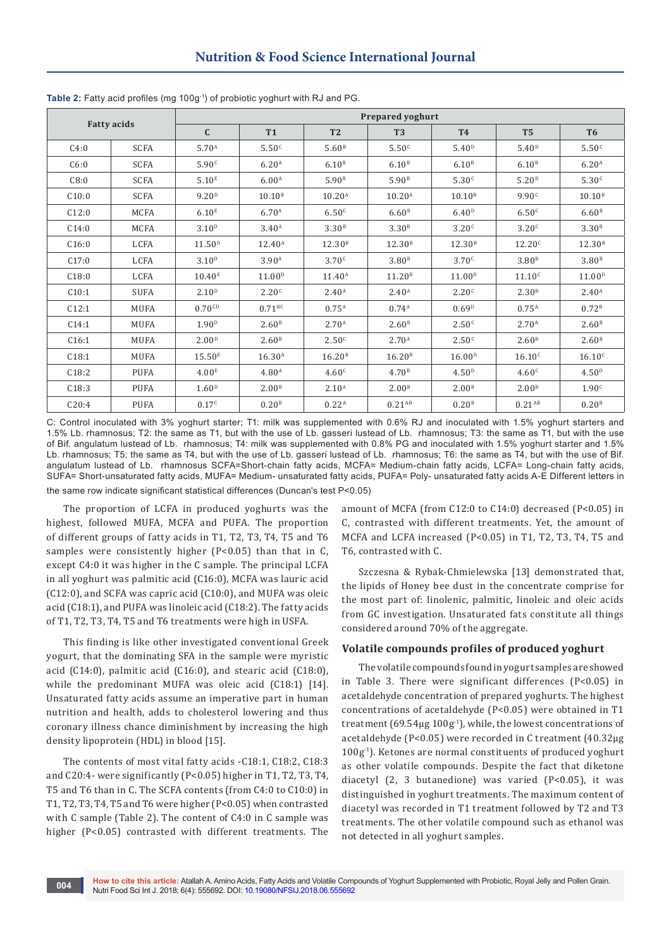| <b>Fatty acids</b> |             | <b>Prepared yoghurt</b> |                      |                    |                    |                    |                    |                    |  |  |  |
|--------------------|-------------|-------------------------|----------------------|--------------------|--------------------|--------------------|--------------------|--------------------|--|--|--|
|                    |             | $\mathbf{C}$            | T1                   | T2                 | T <sub>3</sub>     | <b>T4</b>          | <b>T5</b>          | T <sub>6</sub>     |  |  |  |
| C4:0               | <b>SCFA</b> | 5.70 <sup>A</sup>       | 5.50 <sup>c</sup>    | 5.60 <sup>B</sup>  | 5.50 <sup>c</sup>  | 5.40 <sup>D</sup>  | 5.40 <sup>D</sup>  | 5.50 <sup>c</sup>  |  |  |  |
| C6:0               | <b>SCFA</b> | 5.90 <sup>c</sup>       | 6.20 <sup>A</sup>    | 6.10 <sup>B</sup>  | 6.10 <sup>B</sup>  | 6.10 <sup>B</sup>  | 6.10 <sup>B</sup>  | 6.20 <sup>A</sup>  |  |  |  |
| C8:0               | <b>SCFA</b> | 5.10 <sup>E</sup>       | 6.00 <sup>A</sup>    | 5.90 <sup>B</sup>  | 5.90 <sup>B</sup>  | 5.30 <sup>c</sup>  | 5.20 <sup>D</sup>  | 5.30 <sup>c</sup>  |  |  |  |
| C10:0              | <b>SCFA</b> | 9.20 <sup>D</sup>       | 10.10 <sup>B</sup>   | $10.20^{A}$        | $10.20^{A}$        | 10.10 <sup>B</sup> | 9.90 <sup>c</sup>  | 10.10 <sup>B</sup> |  |  |  |
| C12:0              | MCFA        | 6.10 <sup>E</sup>       | 6.70 <sup>A</sup>    | 6.50 <sup>c</sup>  | 6.60 <sup>B</sup>  | 6.40 <sup>D</sup>  | 6.50 <sup>c</sup>  | 6.60 <sup>B</sup>  |  |  |  |
| C14:0              | MCFA        | 3.10 <sup>D</sup>       | 3.40 <sup>A</sup>    | 3.30 <sup>B</sup>  | 3.30 <sup>B</sup>  | 3.20 <sup>c</sup>  | 3.20 <sup>c</sup>  | 3.30 <sup>B</sup>  |  |  |  |
| C16:0              | LCFA        | 11.50 <sup>D</sup>      | $12.40^{\text{A}}$   | 12.30 <sup>B</sup> | 12.30 <sup>B</sup> | 12.30 <sup>B</sup> | 12.20 <sup>c</sup> | 12.30 <sup>B</sup> |  |  |  |
| C17:0              | LCFA        | 3.10 <sup>D</sup>       | 3.90 <sup>A</sup>    | 3.70 <sup>c</sup>  | 3.80 <sup>B</sup>  | 3.70 <sup>c</sup>  | 3.80 <sup>B</sup>  | 3.80 <sup>B</sup>  |  |  |  |
| C18:0              | LCFA        | 10.40 <sup>E</sup>      | 11.00 <sup>D</sup>   | $11.40^{\text{A}}$ | 11.20 <sup>B</sup> | 11.00 <sup>D</sup> | 11.10 <sup>c</sup> | 11.00 <sup>D</sup> |  |  |  |
| C10:1              | <b>SUFA</b> | 2.10 <sup>D</sup>       | 2.20 <sup>c</sup>    | 2.40 <sup>A</sup>  | 2.40 <sup>A</sup>  | 2.20 <sup>c</sup>  | 2.30 <sup>B</sup>  | 2.40 <sup>A</sup>  |  |  |  |
| C12:1              | <b>MUFA</b> | $0.70$ <sup>CD</sup>    | $0.71$ <sup>BC</sup> | $0.75^{A}$         | $0.74^{A}$         | 0.69 <sup>D</sup>  | $0.75^{A}$         | 0.72 <sup>B</sup>  |  |  |  |
| C14:1              | <b>MUFA</b> | 1.90 <sup>D</sup>       | 2.60 <sup>B</sup>    | 2.70 <sup>A</sup>  | 2.60 <sup>B</sup>  | 2.50 <sup>c</sup>  | 2.70 <sup>A</sup>  | 2.60 <sup>B</sup>  |  |  |  |
| C16:1              | <b>MUFA</b> | 2.00 <sup>D</sup>       | 2.60 <sup>B</sup>    | 2.50 <sup>c</sup>  | 2.70 <sup>A</sup>  | 2.50 <sup>c</sup>  | 2.60 <sup>B</sup>  | 2.60 <sup>B</sup>  |  |  |  |
| C18:1              | <b>MUFA</b> | 15.50 <sup>E</sup>      | $16.30^{A}$          | 16.20 <sup>B</sup> | 16.20 <sup>B</sup> | 16.00 <sup>D</sup> | 16.10 <sup>c</sup> | 16.10 <sup>c</sup> |  |  |  |
| C18:2              | <b>PUFA</b> | 4.00 <sup>E</sup>       | 4.80 <sup>A</sup>    | 4.60 <sup>c</sup>  | 4.70 <sup>B</sup>  | 4.50 <sup>D</sup>  | 4.60 <sup>c</sup>  | 4.50 <sup>D</sup>  |  |  |  |
| C18:3              | <b>PUFA</b> | 1.60 <sup>D</sup>       | 2.00 <sup>B</sup>    | 2.10 <sup>A</sup>  | 2.00 <sup>B</sup>  | 2.00 <sup>B</sup>  | 2.00 <sup>B</sup>  | 1.90 <sup>c</sup>  |  |  |  |
| C20:4              | <b>PUFA</b> | 0.17 <sup>c</sup>       | 0.20 <sup>B</sup>    | 0.22 <sup>A</sup>  | $0.21^{AB}$        | 0.20 <sup>B</sup>  | $0.21^{AB}$        | 0.20 <sup>B</sup>  |  |  |  |

**Table 2:** Fatty acid profiles (mg 100g-1) of probiotic yoghurt with RJ and PG.

C: Control inoculated with 3% yoghurt starter; T1: milk was supplemented with 0.6% RJ and inoculated with 1.5% yoghurt starters and 1.5% Lb. rhamnosus; T2: the same as T1, but with the use of Lb. gasseri lustead of Lb. rhamnosus; T3: the same as T1, but with the use of Bif. angulatum lustead of Lb. rhamnosus; T4: milk was supplemented with 0.8% PG and inoculated with 1.5% yoghurt starter and 1.5% Lb. rhamnosus; T5: the same as T4, but with the use of Lb. gasseri lustead of Lb. rhamnosus; T6: the same as T4, but with the use of Bif. angulatum lustead of Lb. rhamnosus SCFA=Short-chain fatty acids, MCFA= Medium-chain fatty acids, LCFA= Long-chain fatty acids, SUFA= Short-unsaturated fatty acids, MUFA= Medium- unsaturated fatty acids, PUFA= Poly- unsaturated fatty acids A-E Different letters in the same row indicate significant statistical differences (Duncan's test P<0.05)

The proportion of LCFA in produced yoghurts was the highest, followed MUFA, MCFA and PUFA. The proportion of different groups of fatty acids in T1, T2, T3, T4, T5 and T6 samples were consistently higher (P<0.05) than that in C, except C4:0 it was higher in the C sample. The principal LCFA in all yoghurt was palmitic acid (C16:0), MCFA was lauric acid (C12:0), and SCFA was capric acid (C10:0), and MUFA was oleic acid (C18:1), and PUFA was linoleic acid (C18:2). The fatty acids of T1, T2, T3, T4, T5 and T6 treatments were high in USFA.

This finding is like other investigated conventional Greek yogurt, that the dominating SFA in the sample were myristic acid (C14:0), palmitic acid (C16:0), and stearic acid (C18:0), while the predominant MUFA was oleic acid (C18:1) [14]. Unsaturated fatty acids assume an imperative part in human nutrition and health, adds to cholesterol lowering and thus coronary illness chance diminishment by increasing the high density lipoprotein (HDL) in blood [15].

The contents of most vital fatty acids -C18:1, C18:2, C18:3 and C20:4- were significantly (P<0.05) higher in T1, T2, T3, T4, T5 and T6 than in C. The SCFA contents (from C4:0 to C10:0) in T1, T2, T3, T4, T5 and T6 were higher (P<0.05) when contrasted with C sample (Table 2). The content of C4:0 in C sample was higher (P<0.05) contrasted with different treatments. The

amount of MCFA (from C12:0 to C14:0) decreased (P<0.05) in C, contrasted with different treatments. Yet, the amount of MCFA and LCFA increased (P<0.05) in T1, T2, T3, T4, T5 and T6, contrasted with C.

Szczesna & Rybak-Chmielewska [13] demonstrated that, the lipids of Honey bee dust in the concentrate comprise for the most part of: linolenic, palmitic, linoleic and oleic acids from GC investigation. Unsaturated fats constitute all things considered around 70% of the aggregate.

#### **Volatile compounds profiles of produced yoghurt**

The volatile compounds found in yogurt samples are showed in Table 3. There were significant differences (P<0.05) in acetaldehyde concentration of prepared yoghurts. The highest concentrations of acetaldehyde (P<0.05) were obtained in T1 treatment  $(69.54\mu g 100g<sup>-1</sup>)$ , while, the lowest concentrations of acetaldehyde (P<0.05) were recorded in C treatment (40.32μg 100g-1). Ketones are normal constituents of produced yoghurt as other volatile compounds. Despite the fact that diketone diacetyl (2, 3 butanedione) was varied (P<0.05), it was distinguished in yoghurt treatments. The maximum content of diacetyl was recorded in T1 treatment followed by T2 and T3 treatments. The other volatile compound such as ethanol was not detected in all yoghurt samples.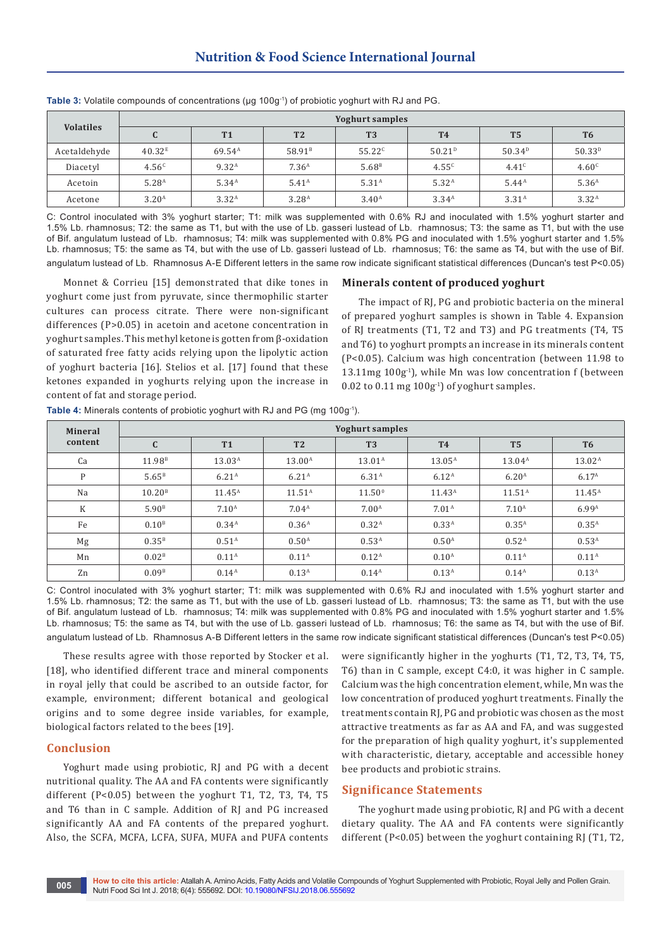| <b>Volatiles</b> | <b>Yoghurt samples</b> |                    |                    |                   |                    |                   |                   |  |  |
|------------------|------------------------|--------------------|--------------------|-------------------|--------------------|-------------------|-------------------|--|--|
|                  |                        | <b>T1</b>          | T <sub>2</sub>     | T <sub>3</sub>    | <b>T4</b>          | T <sub>5</sub>    | T <sub>6</sub>    |  |  |
| Acetaldehyde     | 40.32 <sup>E</sup>     | 69.54 <sup>A</sup> | 58.91 <sup>B</sup> | $55.22^{c}$       | 50.21 <sup>D</sup> | $50.34^{p}$       | $50.33^{D}$       |  |  |
| Diacetyl         | 4.56 <sup>c</sup>      | 9.32 <sup>A</sup>  | 7.36 <sup>A</sup>  | 5.68 <sup>B</sup> | $4.55^{c}$         | 4.41 <sup>c</sup> | 4.60 <sup>c</sup> |  |  |
| Acetoin          | 5.28 <sup>A</sup>      | 5.34 <sup>A</sup>  | 5.41 <sup>A</sup>  | 5.31 <sup>A</sup> | 5.32 <sup>A</sup>  | $5.44^{\text{A}}$ | 5.36 <sup>A</sup> |  |  |
| Acetone          | 3.20 <sup>A</sup>      | 3.32 <sup>A</sup>  | 3.28 <sup>A</sup>  | 3.40 <sup>A</sup> | 3.34 <sup>A</sup>  | 3.31 <sup>A</sup> | 3.32 <sup>A</sup> |  |  |

**Table 3:** Volatile compounds of concentrations (μg 100g-1) of probiotic yoghurt with RJ and PG.

C: Control inoculated with 3% yoghurt starter; T1: milk was supplemented with 0.6% RJ and inoculated with 1.5% yoghurt starter and 1.5% Lb. rhamnosus; T2: the same as T1, but with the use of Lb. gasseri lustead of Lb. rhamnosus; T3: the same as T1, but with the use of Bif. angulatum lustead of Lb. rhamnosus; T4: milk was supplemented with 0.8% PG and inoculated with 1.5% yoghurt starter and 1.5% Lb. rhamnosus; T5: the same as T4, but with the use of Lb. gasseri lustead of Lb. rhamnosus; T6: the same as T4, but with the use of Bif. angulatum lustead of Lb. Rhamnosus A-E Different letters in the same row indicate significant statistical differences (Duncan's test P<0.05)

Monnet & Corrieu [15] demonstrated that dike tones in yoghurt come just from pyruvate, since thermophilic starter cultures can process citrate. There were non-significant differences (P>0.05) in acetoin and acetone concentration in yoghurt samples. This methyl ketone is gotten from β-oxidation of saturated free fatty acids relying upon the lipolytic action of yoghurt bacteria [16]. Stelios et al. [17] found that these ketones expanded in yoghurts relying upon the increase in content of fat and storage period.

## **Minerals content of produced yoghurt**

The impact of RJ, PG and probiotic bacteria on the mineral of prepared yoghurt samples is shown in Table 4. Expansion of RJ treatments (T1, T2 and T3) and PG treatments (T4, T5 and T6) to yoghurt prompts an increase in its minerals content (P<0.05). Calcium was high concentration (between 11.98 to 13.11mg  $100g<sup>-1</sup>$ ), while Mn was low concentration f (between  $0.02$  to  $0.11$  mg  $100g<sup>-1</sup>$  of yoghurt samples.

| <b>Mineral</b><br>content | <b>Yoghurt samples</b> |                    |                    |                    |                    |                   |                    |  |  |
|---------------------------|------------------------|--------------------|--------------------|--------------------|--------------------|-------------------|--------------------|--|--|
|                           | $\mathbf{C}$           | <b>T1</b>          | T <sub>2</sub>     | T <sub>3</sub>     | <b>T4</b>          | <b>T5</b>         | T <sub>6</sub>     |  |  |
| Ca                        | 11.98 <sup>B</sup>     | 13.03 <sup>A</sup> | 13.00 <sup>A</sup> | $13.01^{\text{A}}$ | $13.05^{A}$        | $13.04^{A}$       | $13.02^{\text{A}}$ |  |  |
| P                         | 5.65 <sup>B</sup>      | 6.21 <sup>A</sup>  | 6.21 <sup>A</sup>  | 6.31 <sup>A</sup>  | $6.12^{A}$         | 6.20 <sup>A</sup> | 6.17 <sup>A</sup>  |  |  |
| Na                        | 10.20 <sup>B</sup>     | $11.45^{\text{A}}$ | 11.51 <sup>A</sup> | $11.50^{\circ}$    | $11.43^{\text{A}}$ | $11.51^A$         | $11.45^{\text{A}}$ |  |  |
| K                         | 5.90 <sup>B</sup>      | 7.10 <sup>A</sup>  | 7.04 <sup>A</sup>  | 7.00 <sup>A</sup>  | 7.01 <sup>A</sup>  | 7.10 <sup>A</sup> | 6.99 <sup>A</sup>  |  |  |
| Fe                        | 0.10 <sup>B</sup>      | $0.34^{A}$         | 0.36 <sup>A</sup>  | 0.32 <sup>A</sup>  | 0.33 <sup>A</sup>  | $0.35^{A}$        | $0.35^{A}$         |  |  |
| Mg                        | 0.35 <sup>B</sup>      | 0.51 <sup>A</sup>  | 0.50 <sup>A</sup>  | 0.53 <sup>A</sup>  | 0.50 <sup>A</sup>  | 0.52 <sup>A</sup> | 0.53 <sup>A</sup>  |  |  |
| Mn                        | 0.02 <sup>B</sup>      | 0.11 <sup>A</sup>  | 0.11 <sup>A</sup>  | 0.12 <sup>A</sup>  | $0.10^{A}$         | 0.11 <sup>A</sup> | 0.11 <sup>A</sup>  |  |  |
| Zn                        | 0.09 <sup>B</sup>      | $0.14^{A}$         | 0.13 <sup>A</sup>  | $0.14^{A}$         | 0.13 <sup>A</sup>  | $0.14^{A}$        | 0.13 <sup>A</sup>  |  |  |

Table 4: Minerals contents of probiotic yoghurt with RJ and PG (mg 100g<sup>-1</sup>).

C: Control inoculated with 3% yoghurt starter; T1: milk was supplemented with 0.6% RJ and inoculated with 1.5% yoghurt starter and 1.5% Lb. rhamnosus; T2: the same as T1, but with the use of Lb. gasseri lustead of Lb. rhamnosus; T3: the same as T1, but with the use of Bif. angulatum lustead of Lb. rhamnosus; T4: milk was supplemented with 0.8% PG and inoculated with 1.5% yoghurt starter and 1.5% Lb. rhamnosus; T5: the same as T4, but with the use of Lb. gasseri lustead of Lb. rhamnosus; T6: the same as T4, but with the use of Bif. angulatum lustead of Lb. Rhamnosus A-B Different letters in the same row indicate significant statistical differences (Duncan's test P<0.05)

These results agree with those reported by Stocker et al. [18], who identified different trace and mineral components in royal jelly that could be ascribed to an outside factor, for example, environment; different botanical and geological origins and to some degree inside variables, for example, biological factors related to the bees [19].

# **Conclusion**

Yoghurt made using probiotic, RJ and PG with a decent nutritional quality. The AA and FA contents were significantly different (P<0.05) between the yoghurt T1, T2, T3, T4, T5 and T6 than in C sample. Addition of RJ and PG increased significantly AA and FA contents of the prepared yoghurt. Also, the SCFA, MCFA, LCFA, SUFA, MUFA and PUFA contents

were significantly higher in the yoghurts (T1, T2, T3, T4, T5, T6) than in C sample, except C4:0, it was higher in C sample. Calcium was the high concentration element, while, Mn was the low concentration of produced yoghurt treatments. Finally the treatments contain RJ, PG and probiotic was chosen as the most attractive treatments as far as AA and FA, and was suggested for the preparation of high quality yoghurt, it's supplemented with characteristic, dietary, acceptable and accessible honey bee products and probiotic strains.

# **Significance Statements**

The yoghurt made using probiotic, RJ and PG with a decent dietary quality. The AA and FA contents were significantly different (P<0.05) between the yoghurt containing RJ (T1, T2,